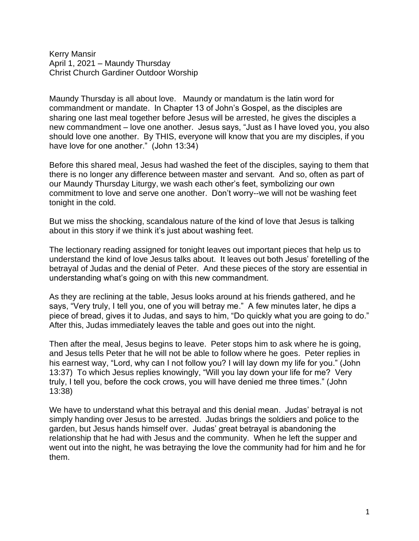Kerry Mansir April 1, 2021 – Maundy Thursday Christ Church Gardiner Outdoor Worship

Maundy Thursday is all about love. Maundy or mandatum is the latin word for commandment or mandate. In Chapter 13 of John's Gospel, as the disciples are sharing one last meal together before Jesus will be arrested, he gives the disciples a new commandment – love one another. Jesus says, "Just as I have loved you, you also should love one another. By THIS, everyone will know that you are my disciples, if you have love for one another." (John 13:34)

Before this shared meal, Jesus had washed the feet of the disciples, saying to them that there is no longer any difference between master and servant. And so, often as part of our Maundy Thursday Liturgy, we wash each other's feet, symbolizing our own commitment to love and serve one another. Don't worry--we will not be washing feet tonight in the cold.

But we miss the shocking, scandalous nature of the kind of love that Jesus is talking about in this story if we think it's just about washing feet.

The lectionary reading assigned for tonight leaves out important pieces that help us to understand the kind of love Jesus talks about. It leaves out both Jesus' foretelling of the betrayal of Judas and the denial of Peter. And these pieces of the story are essential in understanding what's going on with this new commandment.

As they are reclining at the table, Jesus looks around at his friends gathered, and he says, "Very truly, I tell you, one of you will betray me." A few minutes later, he dips a piece of bread, gives it to Judas, and says to him, "Do quickly what you are going to do." After this, Judas immediately leaves the table and goes out into the night.

Then after the meal, Jesus begins to leave. Peter stops him to ask where he is going, and Jesus tells Peter that he will not be able to follow where he goes. Peter replies in his earnest way, "Lord, why can I not follow you? I will lay down my life for you." (John 13:37) To which Jesus replies knowingly, "Will you lay down your life for me? Very truly, I tell you, before the cock crows, you will have denied me three times." (John 13:38)

We have to understand what this betrayal and this denial mean. Judas' betrayal is not simply handing over Jesus to be arrested. Judas brings the soldiers and police to the garden, but Jesus hands himself over. Judas' great betrayal is abandoning the relationship that he had with Jesus and the community. When he left the supper and went out into the night, he was betraying the love the community had for him and he for them.